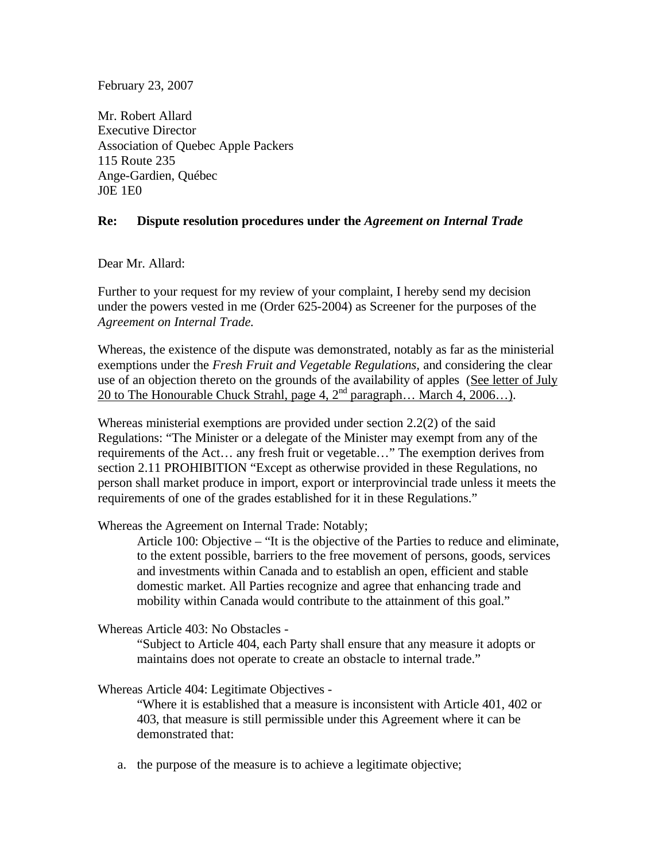February 23, 2007

Mr. Robert Allard Executive Director Association of Quebec Apple Packers 115 Route 235 Ange-Gardien, Québec J0E 1E0

## **Re: Dispute resolution procedures under the** *Agreement on Internal Trade*

Dear Mr. Allard:

Further to your request for my review of your complaint, I hereby send my decision under the powers vested in me (Order 625-2004) as Screener for the purposes of the *Agreement on Internal Trade.*

Whereas, the existence of the dispute was demonstrated, notably as far as the ministerial exemptions under the *Fresh Fruit and Vegetable Regulations,* and considering the clear use of an objection thereto on the grounds of the availability of apples (See letter of July 20 to The Honourable Chuck Strahl, page 4,  $2^{nd}$  paragraph... March 4,  $2006...$ ).

Whereas ministerial exemptions are provided under section 2.2(2) of the said Regulations: "The Minister or a delegate of the Minister may exempt from any of the requirements of the Act… any fresh fruit or vegetable…" The exemption derives from section 2.11 PROHIBITION "Except as otherwise provided in these Regulations, no person shall market produce in import, export or interprovincial trade unless it meets the requirements of one of the grades established for it in these Regulations."

Whereas the Agreement on Internal Trade: Notably;

Article 100: Objective – "It is the objective of the Parties to reduce and eliminate, to the extent possible, barriers to the free movement of persons, goods, services and investments within Canada and to establish an open, efficient and stable domestic market. All Parties recognize and agree that enhancing trade and mobility within Canada would contribute to the attainment of this goal."

Whereas Article 403: No Obstacles -

"Subject to Article 404, each Party shall ensure that any measure it adopts or maintains does not operate to create an obstacle to internal trade."

Whereas Article 404: Legitimate Objectives -

"Where it is established that a measure is inconsistent with Article 401, 402 or 403, that measure is still permissible under this Agreement where it can be demonstrated that:

a. the purpose of the measure is to achieve a legitimate objective;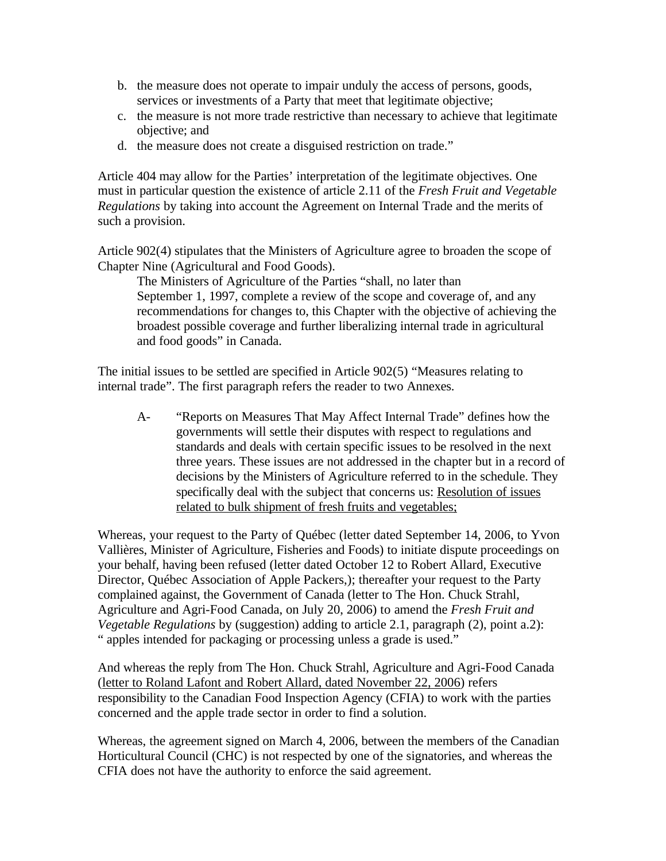- b. the measure does not operate to impair unduly the access of persons, goods, services or investments of a Party that meet that legitimate objective;
- c. the measure is not more trade restrictive than necessary to achieve that legitimate objective; and
- d. the measure does not create a disguised restriction on trade."

Article 404 may allow for the Parties' interpretation of the legitimate objectives. One must in particular question the existence of article 2.11 of the *Fresh Fruit and Vegetable Regulations* by taking into account the Agreement on Internal Trade and the merits of such a provision.

Article 902(4) stipulates that the Ministers of Agriculture agree to broaden the scope of Chapter Nine (Agricultural and Food Goods).

The Ministers of Agriculture of the Parties "shall, no later than September 1, 1997, complete a review of the scope and coverage of, and any recommendations for changes to, this Chapter with the objective of achieving the broadest possible coverage and further liberalizing internal trade in agricultural and food goods" in Canada.

The initial issues to be settled are specified in Article 902(5) "Measures relating to internal trade". The first paragraph refers the reader to two Annexes.

A- "Reports on Measures That May Affect Internal Trade" defines how the governments will settle their disputes with respect to regulations and standards and deals with certain specific issues to be resolved in the next three years. These issues are not addressed in the chapter but in a record of decisions by the Ministers of Agriculture referred to in the schedule. They specifically deal with the subject that concerns us: Resolution of issues related to bulk shipment of fresh fruits and vegetables;

Whereas, your request to the Party of Québec (letter dated September 14, 2006, to Yvon Vallières, Minister of Agriculture, Fisheries and Foods) to initiate dispute proceedings on your behalf, having been refused (letter dated October 12 to Robert Allard, Executive Director, Québec Association of Apple Packers,); thereafter your request to the Party complained against, the Government of Canada (letter to The Hon. Chuck Strahl, Agriculture and Agri-Food Canada, on July 20, 2006) to amend the *Fresh Fruit and Vegetable Regulations* by (suggestion) adding to article 2.1, paragraph (2), point a.2): " apples intended for packaging or processing unless a grade is used."

And whereas the reply from The Hon. Chuck Strahl, Agriculture and Agri-Food Canada (letter to Roland Lafont and Robert Allard, dated November 22, 2006) refers responsibility to the Canadian Food Inspection Agency (CFIA) to work with the parties concerned and the apple trade sector in order to find a solution.

Whereas, the agreement signed on March 4, 2006, between the members of the Canadian Horticultural Council (CHC) is not respected by one of the signatories, and whereas the CFIA does not have the authority to enforce the said agreement.